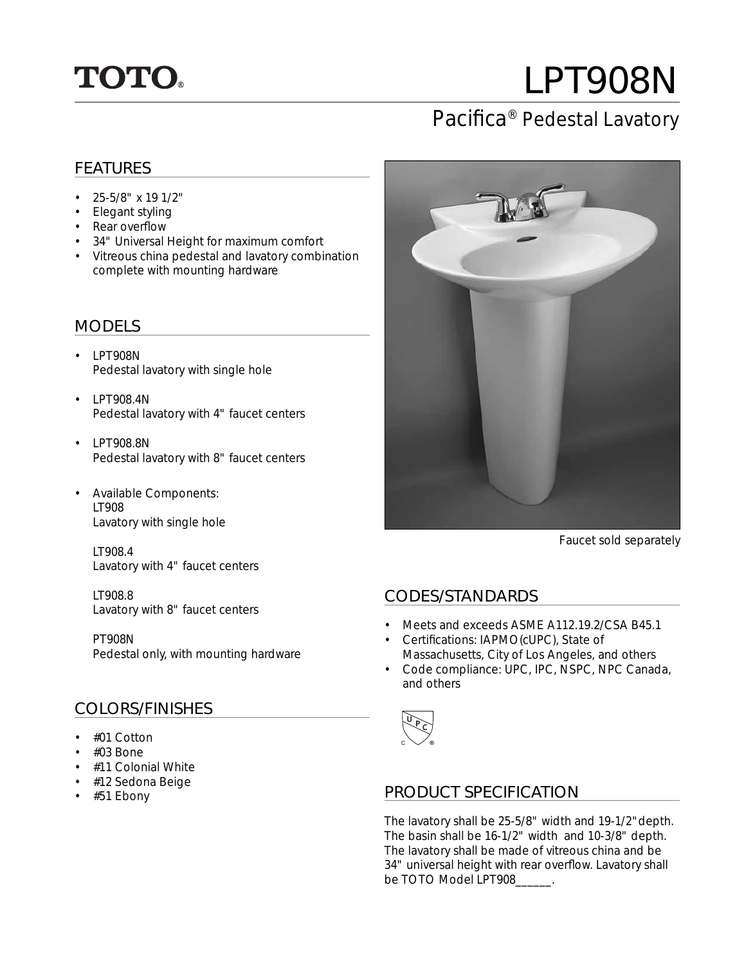

# LPT908N

# Pacifica<sup>®</sup> Pedestal Lavatory

#### FEATURES

- 25-5/8" x 19 1/2"
- Elegant styling
- Rear overflow
- 34" Universal Height for maximum comfort
- Vitreous china pedestal and lavatory combination complete with mounting hardware

### MODELS

- LPT908N Pedestal lavatory with single hole
- $\cdot$  LPT908.4N Pedestal lavatory with 4" faucet centers
- LPT908.8N Pedestal lavatory with 8" faucet centers
- Available Components: • LT908 Lavatory with single hole

• LT908.4 Lavatory with 4" faucet centers

• LT908.8 Lavatory with 8" faucet centers

• PT908N Pedestal only, with mounting hardware

## COLORS/FINISHES

- #01 Cotton
- #03 Bone
- #11 Colonial White
- #12 Sedona Beige
- #51 Ebony



Faucet sold separately

#### CODES/STANDARDS

- Meets and exceeds ASME A112.19.2/CSA B45.1
- Certifications: IAPMO(cUPC), State of Massachusetts, City of Los Angeles, and others
- Code compliance: UPC, IPC, NSPC, NPC Canada, and others



#### PRODUCT SPECIFICATION

The lavatory shall be 25-5/8" width and 19-1/2"depth. The basin shall be 16-1/2" width and 10-3/8" depth. The lavatory shall be made of vitreous china and be 34" universal height with rear overflow. Lavatory shall be TOTO Model LPT908